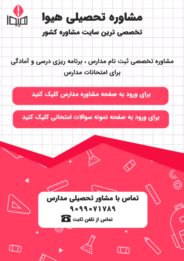

مشاوره تخصصی ثبت نام مدارس ، برنامه ریزی درسی و آمادگی براى امتحانات مدارس

برای ورود به صفحه مشاوره مدارس کلیک کنید

برای ورود به صفحه نمونه سوالات امتحانی کلیک کنید



90990VIVA9 تماس از تلفن ثابت ها

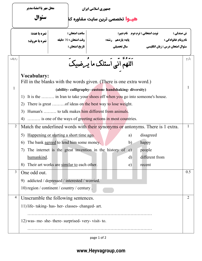|                | محل مهر یا امضاءمدیر<br>سئوال                                                             |                                                         | جمهوري اسلامي ايران<br> <br>  <b>شیــوا</b> تخصصی ترین سایت مشاوره کنا |  |              |                                                                             |      |  |
|----------------|-------------------------------------------------------------------------------------------|---------------------------------------------------------|------------------------------------------------------------------------|--|--------------|-----------------------------------------------------------------------------|------|--|
|                | نمره با عدد:                                                                              |                                                         | ساعت امتحان :                                                          |  |              | نوبت امتحاني : ترم دوم 5نام دبير:<br>ش صندلي :                              |      |  |
|                | نمره با حروف:                                                                             |                                                         | وقت امتحان : 70 دقيقه<br>پایه: یازدهم رشته:                            |  |              | نام ونام خانوادگی :                                                         |      |  |
|                |                                                                                           | تاريخ امتحان :                                          | سال تحصیلی                                                             |  |              | سئوال امتحان درس : زبان انگلیسی                                             |      |  |
| رديف           |                                                                                           |                                                         | اللهم انی اسئلک ما یُرضیک ً                                            |  |              |                                                                             | بارم |  |
|                | <b>Vocabulary:</b><br>Fill in the blanks with the words given. (There is one extra word.) |                                                         |                                                                        |  |              |                                                                             |      |  |
| $\mathbf{1}$   |                                                                                           | (ability-calligraphy-custom-handshaking-diversity)      |                                                                        |  |              |                                                                             | 1    |  |
|                | 1)                                                                                        |                                                         |                                                                        |  |              | It is the  in Iran to take your shoes off when you go into someone's house. |      |  |
|                | 2)                                                                                        | There is great of ideas on the best way to lose weight. |                                                                        |  |              |                                                                             |      |  |
|                | 3)                                                                                        | Human's  to talk makes him different from animals.      |                                                                        |  |              |                                                                             |      |  |
|                | is one of the ways of greeting actions in most countries.<br>4)                           |                                                         |                                                                        |  |              |                                                                             |      |  |
| $\overline{2}$ | Match the underlined words with their synonyms or antonyms. There is 1 extra.             |                                                         |                                                                        |  |              |                                                                             | 1    |  |
|                | 5)                                                                                        | Happening or starting a short time ago.                 |                                                                        |  | a)           | disagreed                                                                   |      |  |
|                | 6)                                                                                        | The bank agreed to lend him some money.                 |                                                                        |  | b)           | happy                                                                       |      |  |
|                | 7) The internet is the great invention in the history of c) people                        |                                                         |                                                                        |  |              |                                                                             |      |  |
|                | humankind.                                                                                |                                                         |                                                                        |  | $\mathbf{d}$ | different from                                                              |      |  |
|                | 8)                                                                                        | Their art works are similar to each other.              |                                                                        |  | e)           | recent                                                                      |      |  |
| $\overline{3}$ | One odd out.                                                                              |                                                         |                                                                        |  |              |                                                                             | 0.5  |  |
|                | 9) addicted / depressed / interested / worried.                                           |                                                         |                                                                        |  |              |                                                                             |      |  |
|                | 10) region / continent / country / century.                                               |                                                         |                                                                        |  |              |                                                                             |      |  |
| 4              | Unscramble the following sentences.                                                       |                                                         |                                                                        |  |              |                                                                             | 2    |  |
|                | 11) life- taking- has- her- classes- changed- art.                                        |                                                         |                                                                        |  |              |                                                                             |      |  |
|                |                                                                                           |                                                         |                                                                        |  |              |                                                                             |      |  |
|                | 12) was- me- she- there- surprised- very- visit- to.                                      |                                                         |                                                                        |  |              |                                                                             |      |  |
|                |                                                                                           |                                                         |                                                                        |  |              |                                                                             |      |  |

page 1 of 2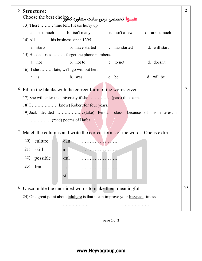| 5 | <b>Structure:</b>                                                                | 2              |  |  |  |  |  |
|---|----------------------------------------------------------------------------------|----------------|--|--|--|--|--|
|   | هیـوا تخصصی ترین سایت مشاوره کشور Choose the best choice                         |                |  |  |  |  |  |
|   | 13) There  time left. Please hurry up.                                           |                |  |  |  |  |  |
|   | a. isn't much<br>b. isn't many c. isn't a few d. aren't much                     |                |  |  |  |  |  |
|   | 14) Ali  his business since 1395.                                                |                |  |  |  |  |  |
|   | b. have started c. has started<br>d. will start<br>a. starts                     |                |  |  |  |  |  |
|   | 15) His dad tries  forget the phone numbers.                                     |                |  |  |  |  |  |
|   | b. not to<br>d. doesn't<br>a. not<br>c. to not                                   |                |  |  |  |  |  |
|   | 16) If she  late, we'll go without her.                                          |                |  |  |  |  |  |
|   | d. will be<br>b. was<br>a. is<br>c. be                                           |                |  |  |  |  |  |
|   |                                                                                  |                |  |  |  |  |  |
| 6 | Fill in the blanks with the correct form of the words given.                     | $\overline{2}$ |  |  |  |  |  |
|   |                                                                                  |                |  |  |  |  |  |
|   |                                                                                  |                |  |  |  |  |  |
|   |                                                                                  |                |  |  |  |  |  |
|   |                                                                                  |                |  |  |  |  |  |
| 7 | Match the columns and write the correct forms of the words. One is extra.        |                |  |  |  |  |  |
|   |                                                                                  |                |  |  |  |  |  |
|   | 20) culture<br>$-ian$<br>.                                                       |                |  |  |  |  |  |
|   | 21)<br>skill<br>$1m-$<br>. <u>. .</u>                                            |                |  |  |  |  |  |
|   | possible<br>-ful<br>22)                                                          |                |  |  |  |  |  |
|   | 23)<br>Iran<br>$-ist$                                                            |                |  |  |  |  |  |
|   | -al                                                                              |                |  |  |  |  |  |
|   |                                                                                  |                |  |  |  |  |  |
| 8 | Unscramble the undrlined words to make them meaningful.                          |                |  |  |  |  |  |
|   | 24) One great point about taluhgre is that it can improve your hisypacl fitness. |                |  |  |  |  |  |
|   |                                                                                  |                |  |  |  |  |  |
|   |                                                                                  |                |  |  |  |  |  |

page 2 of 2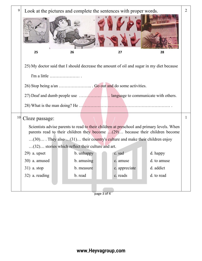

page 3 of 4